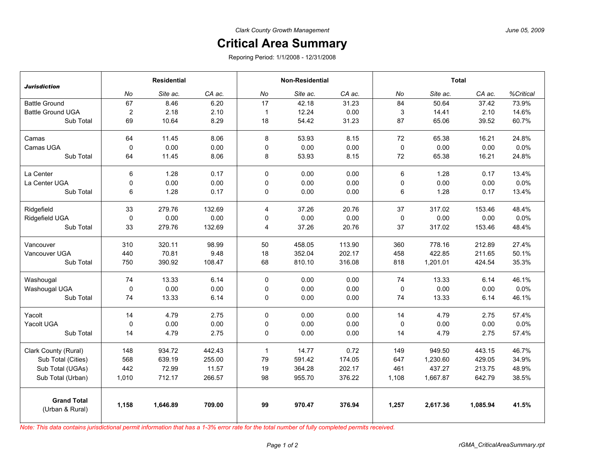## **Critical Area Summary**

Reporing Period: 1/1/2008 - 12/31/2008

| <b>Jurisdiction</b>                   | <b>Residential</b> |          |        | <b>Non-Residential</b> |          |        | <b>Total</b> |          |          |           |
|---------------------------------------|--------------------|----------|--------|------------------------|----------|--------|--------------|----------|----------|-----------|
|                                       | No                 | Site ac. | CA ac. | No                     | Site ac. | CA ac. | No           | Site ac. | CA ac.   | %Critical |
| <b>Battle Ground</b>                  | 67                 | 8.46     | 6.20   | 17                     | 42.18    | 31.23  | 84           | 50.64    | 37.42    | 73.9%     |
| <b>Battle Ground UGA</b>              | $\overline{2}$     | 2.18     | 2.10   | $\mathbf{1}$           | 12.24    | 0.00   | 3            | 14.41    | 2.10     | 14.6%     |
| Sub Total                             | 69                 | 10.64    | 8.29   | 18                     | 54.42    | 31.23  | 87           | 65.06    | 39.52    | 60.7%     |
| Camas                                 | 64                 | 11.45    | 8.06   | 8                      | 53.93    | 8.15   | 72           | 65.38    | 16.21    | 24.8%     |
| Camas UGA                             | 0                  | 0.00     | 0.00   | 0                      | 0.00     | 0.00   | 0            | 0.00     | 0.00     | 0.0%      |
| Sub Total                             | 64                 | 11.45    | 8.06   | 8                      | 53.93    | 8.15   | 72           | 65.38    | 16.21    | 24.8%     |
| La Center                             | 6                  | 1.28     | 0.17   | 0                      | 0.00     | 0.00   | 6            | 1.28     | 0.17     | 13.4%     |
| La Center UGA                         | 0                  | 0.00     | 0.00   | $\mathbf 0$            | 0.00     | 0.00   | $\pmb{0}$    | 0.00     | 0.00     | 0.0%      |
| Sub Total                             | 6                  | 1.28     | 0.17   | 0                      | 0.00     | 0.00   | 6            | 1.28     | 0.17     | 13.4%     |
| Ridgefield                            | 33                 | 279.76   | 132.69 | $\overline{4}$         | 37.26    | 20.76  | 37           | 317.02   | 153.46   | 48.4%     |
| Ridgefield UGA                        | $\mathbf 0$        | 0.00     | 0.00   | 0                      | 0.00     | 0.00   | 0            | 0.00     | 0.00     | 0.0%      |
| Sub Total                             | 33                 | 279.76   | 132.69 | 4                      | 37.26    | 20.76  | 37           | 317.02   | 153.46   | 48.4%     |
| Vancouver                             | 310                | 320.11   | 98.99  | 50                     | 458.05   | 113.90 | 360          | 778.16   | 212.89   | 27.4%     |
| Vancouver UGA                         | 440                | 70.81    | 9.48   | 18                     | 352.04   | 202.17 | 458          | 422.85   | 211.65   | 50.1%     |
| Sub Total                             | 750                | 390.92   | 108.47 | 68                     | 810.10   | 316.08 | 818          | 1,201.01 | 424.54   | 35.3%     |
| Washougal                             | 74                 | 13.33    | 6.14   | $\Omega$               | 0.00     | 0.00   | 74           | 13.33    | 6.14     | 46.1%     |
| Washougal UGA                         | 0                  | 0.00     | 0.00   | $\pmb{0}$              | 0.00     | 0.00   | 0            | 0.00     | 0.00     | 0.0%      |
| Sub Total                             | 74                 | 13.33    | 6.14   | $\mathbf 0$            | 0.00     | 0.00   | 74           | 13.33    | 6.14     | 46.1%     |
| Yacolt                                | 14                 | 4.79     | 2.75   | 0                      | 0.00     | 0.00   | 14           | 4.79     | 2.75     | 57.4%     |
| Yacolt UGA                            | $\pmb{0}$          | 0.00     | 0.00   | $\pmb{0}$              | 0.00     | 0.00   | 0            | 0.00     | 0.00     | 0.0%      |
| Sub Total                             | 14                 | 4.79     | 2.75   | 0                      | 0.00     | 0.00   | 14           | 4.79     | 2.75     | 57.4%     |
| Clark County (Rural)                  | 148                | 934.72   | 442.43 | $\mathbf{1}$           | 14.77    | 0.72   | 149          | 949.50   | 443.15   | 46.7%     |
| Sub Total (Cities)                    | 568                | 639.19   | 255.00 | 79                     | 591.42   | 174.05 | 647          | 1,230.60 | 429.05   | 34.9%     |
| Sub Total (UGAs)                      | 442                | 72.99    | 11.57  | 19                     | 364.28   | 202.17 | 461          | 437.27   | 213.75   | 48.9%     |
| Sub Total (Urban)                     | 1,010              | 712.17   | 266.57 | 98                     | 955.70   | 376.22 | 1,108        | 1,667.87 | 642.79   | 38.5%     |
| <b>Grand Total</b><br>(Urban & Rural) | 1,158              | 1.646.89 | 709.00 | 99                     | 970.47   | 376.94 | 1,257        | 2,617.36 | 1,085.94 | 41.5%     |

*Note: This data contains jurisdictional permit information that has a 1-3% error rate for the total number of fully completed permits received.*